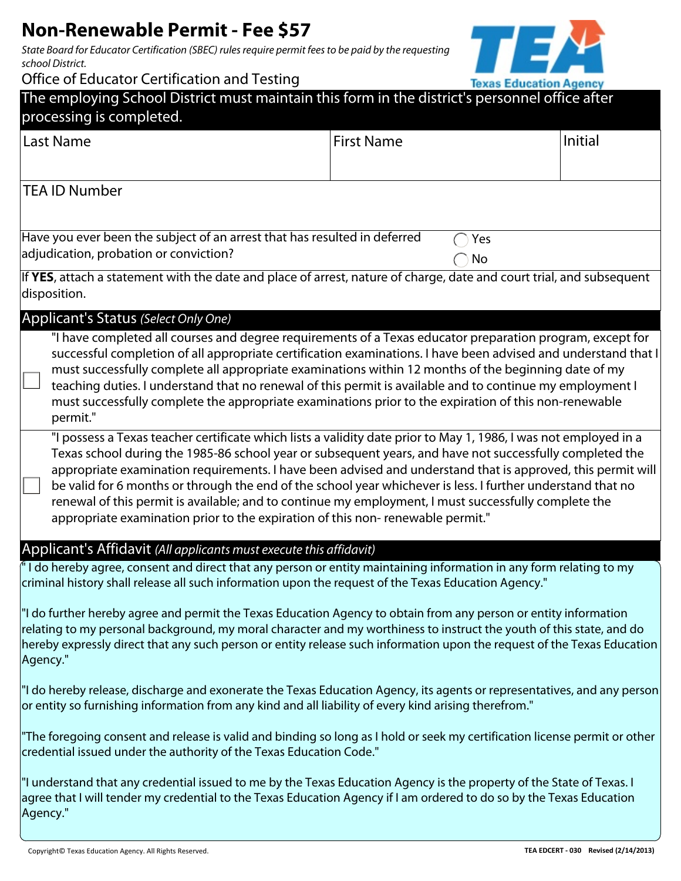# **Non-Renewable Permit - Fee \$57**

*State Board for Educator Certification (SBEC) rules require permit fees to be paid by the requesting school District.* 

Office of Educator Certification and Testing



| Office of Equitator Certification and Testing                                                                                                                                                                                                                                                                                                                                                                                                                                                                                                                                                                                                        | <b>Texas Education Agency</b> |         |  |
|------------------------------------------------------------------------------------------------------------------------------------------------------------------------------------------------------------------------------------------------------------------------------------------------------------------------------------------------------------------------------------------------------------------------------------------------------------------------------------------------------------------------------------------------------------------------------------------------------------------------------------------------------|-------------------------------|---------|--|
| The employing School District must maintain this form in the district's personnel office after<br>processing is completed.                                                                                                                                                                                                                                                                                                                                                                                                                                                                                                                           |                               |         |  |
| <b>Last Name</b>                                                                                                                                                                                                                                                                                                                                                                                                                                                                                                                                                                                                                                     | <b>First Name</b>             | Initial |  |
| <b>TEA ID Number</b>                                                                                                                                                                                                                                                                                                                                                                                                                                                                                                                                                                                                                                 |                               |         |  |
| Have you ever been the subject of an arrest that has resulted in deferred<br>adjudication, probation or conviction?                                                                                                                                                                                                                                                                                                                                                                                                                                                                                                                                  | Yes<br>No                     |         |  |
| If YES, attach a statement with the date and place of arrest, nature of charge, date and court trial, and subsequent<br>disposition.                                                                                                                                                                                                                                                                                                                                                                                                                                                                                                                 |                               |         |  |
| Applicant's Status (Select Only One)                                                                                                                                                                                                                                                                                                                                                                                                                                                                                                                                                                                                                 |                               |         |  |
| "I have completed all courses and degree requirements of a Texas educator preparation program, except for<br>successful completion of all appropriate certification examinations. I have been advised and understand that I<br>must successfully complete all appropriate examinations within 12 months of the beginning date of my<br>teaching duties. I understand that no renewal of this permit is available and to continue my employment I<br>must successfully complete the appropriate examinations prior to the expiration of this non-renewable<br>permit."                                                                                |                               |         |  |
| "I possess a Texas teacher certificate which lists a validity date prior to May 1, 1986, I was not employed in a<br>Texas school during the 1985-86 school year or subsequent years, and have not successfully completed the<br>appropriate examination requirements. I have been advised and understand that is approved, this permit will<br>be valid for 6 months or through the end of the school year whichever is less. I further understand that no<br>renewal of this permit is available; and to continue my employment, I must successfully complete the<br>appropriate examination prior to the expiration of this non-renewable permit." |                               |         |  |
| Applicant's Affidavit (All applicants must execute this affidavit)                                                                                                                                                                                                                                                                                                                                                                                                                                                                                                                                                                                   |                               |         |  |
| $^{\prime\prime}$ I do hereby agree, consent and direct that any person or entity maintaining information in any form relating to my<br>criminal history shall release all such information upon the request of the Texas Education Agency."                                                                                                                                                                                                                                                                                                                                                                                                         |                               |         |  |
| If do further hereby agree and permit the Texas Education Agency to obtain from any person or entity information<br>relating to my personal background, my moral character and my worthiness to instruct the youth of this state, and do<br>hereby expressly direct that any such person or entity release such information upon the request of the Texas Education<br>Agency."                                                                                                                                                                                                                                                                      |                               |         |  |
| "I do hereby release, discharge and exonerate the Texas Education Agency, its agents or representatives, and any person<br>or entity so furnishing information from any kind and all liability of every kind arising therefrom."                                                                                                                                                                                                                                                                                                                                                                                                                     |                               |         |  |
| "The foregoing consent and release is valid and binding so long as I hold or seek my certification license permit or other<br>credential issued under the authority of the Texas Education Code."                                                                                                                                                                                                                                                                                                                                                                                                                                                    |                               |         |  |
| "I understand that any credential issued to me by the Texas Education Agency is the property of the State of Texas. I<br>agree that I will tender my credential to the Texas Education Agency if I am ordered to do so by the Texas Education<br>Agency."                                                                                                                                                                                                                                                                                                                                                                                            |                               |         |  |